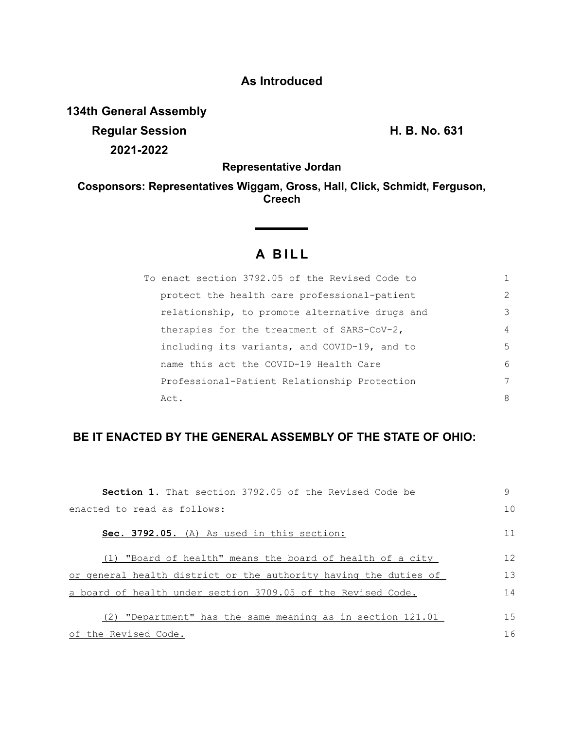## **As Introduced**

**134th General Assembly Regular Session H. B. No. 631**

**2021-2022**

**Representative Jordan**

**Cosponsors: Representatives Wiggam, Gross, Hall, Click, Schmidt, Ferguson, Creech**

## **A B I L L**

| To enact section 3792.05 of the Revised Code to |                |
|-------------------------------------------------|----------------|
| protect the health care professional-patient    | $\overline{2}$ |
| relationship, to promote alternative drugs and  | 3              |
| therapies for the treatment of SARS-CoV-2,      | $\overline{4}$ |
| including its variants, and COVID-19, and to    | 5              |
| name this act the COVID-19 Health Care          | 6              |
| Professional-Patient Relationship Protection    | 7              |
| Act.                                            | 8              |

## **BE IT ENACTED BY THE GENERAL ASSEMBLY OF THE STATE OF OHIO:**

| <b>Section 1.</b> That section 3792.05 of the Revised Code be    | 9  |
|------------------------------------------------------------------|----|
| enacted to read as follows:                                      | 10 |
| Sec. 3792.05. (A) As used in this section:                       | 11 |
| "Board of health" means the board of health of a city            | 12 |
| or general health district or the authority having the duties of | 13 |
| a board of health under section 3709.05 of the Revised Code.     |    |
| "Department" has the same meaning as in section 121.01           | 15 |
| of the Revised Code.                                             |    |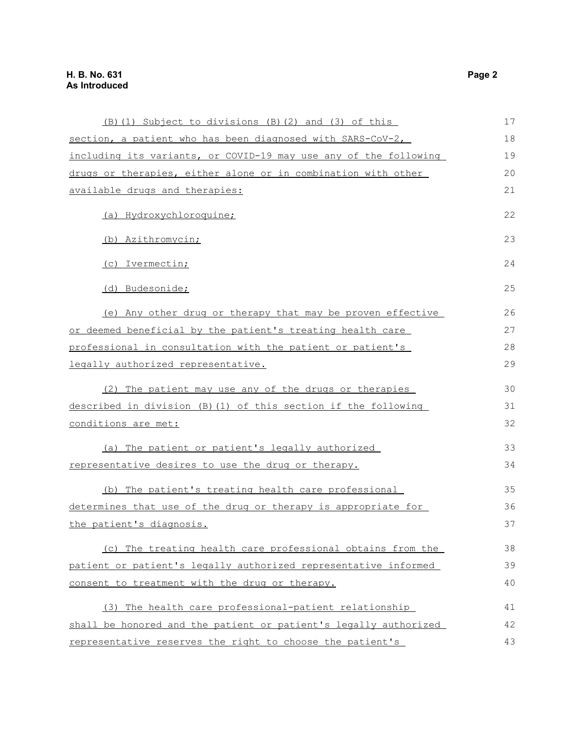| (B) (1) Subject to divisions (B) (2) and (3) of this             | 17 |
|------------------------------------------------------------------|----|
| section, a patient who has been diagnosed with SARS-CoV-2,       | 18 |
| including its variants, or COVID-19 may use any of the following | 19 |
| drugs or therapies, either alone or in combination with other    | 20 |
| available drugs and therapies:                                   |    |
| (a) Hydroxychloroquine;                                          | 22 |
| (b) Azithromycin;                                                | 23 |
| (c) Ivermectin;                                                  | 24 |
| (d) Budesonide;                                                  | 25 |
| (e) Any other drug or therapy that may be proven effective       | 26 |
| or deemed beneficial by the patient's treating health care       | 27 |
| professional in consultation with the patient or patient's       |    |
| legally authorized representative.                               |    |
| (2) The patient may use any of the drugs or therapies            | 30 |
| described in division (B) (1) of this section if the following   | 31 |
| conditions are met:                                              | 32 |
| (a) The patient or patient's legally authorized                  | 33 |
| representative desires to use the drug or therapy.               | 34 |
| (b) The patient's treating health care professional              | 35 |
| determines that use of the drug or therapy is appropriate for    | 36 |
| the patient's diagnosis.                                         | 37 |
| (c) The treating health care professional obtains from the       | 38 |
| patient or patient's legally authorized representative informed  |    |
| consent to treatment with the drug or therapy.                   | 40 |
| (3) The health care professional-patient relationship            | 41 |
| shall be honored and the patient or patient's legally authorized | 42 |
| representative reserves the right to choose the patient's        | 43 |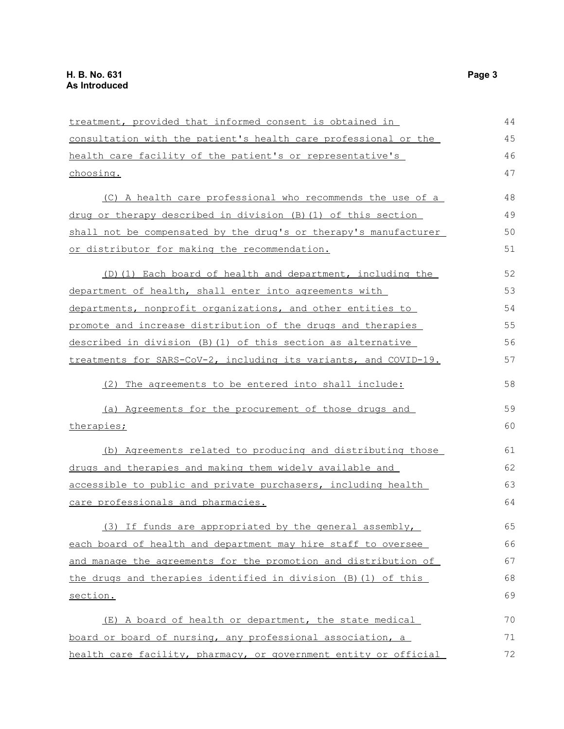treatment, provided that informed consent is obtained in consultation with the patient's health care professional or the health care facility of the patient's or representative's choosing. (C) A health care professional who recommends the use of a drug or therapy described in division (B)(1) of this section shall not be compensated by the drug's or therapy's manufacturer or distributor for making the recommendation. (D)(1) Each board of health and department, including the department of health, shall enter into agreements with departments, nonprofit organizations, and other entities to promote and increase distribution of the drugs and therapies described in division (B)(1) of this section as alternative treatments for SARS-CoV-2, including its variants, and COVID-19. (2) The agreements to be entered into shall include: (a) Agreements for the procurement of those drugs and therapies; (b) Agreements related to producing and distributing those drugs and therapies and making them widely available and accessible to public and private purchasers, including health care professionals and pharmacies. (3) If funds are appropriated by the general assembly, each board of health and department may hire staff to oversee and manage the agreements for the promotion and distribution of the drugs and therapies identified in division (B)(1) of this section. (E) A board of health or department, the state medical board or board of nursing, any professional association, a health care facility, pharmacy, or government entity or official 44 45 46 47 48 49 50 51 52 53 54 55 56 57 58 59 60 61 62 63 64 65 66 67 68 69 70 71 72